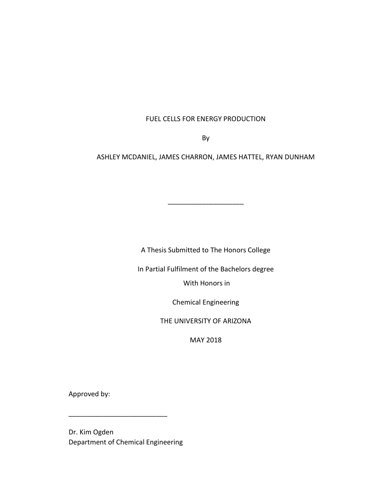## FUEL CELLS FOR ENERGY PRODUCTION

By

ASHLEY MCDANIEL, JAMES CHARRON, JAMES HATTEL, RYAN DUNHAM

\_\_\_\_\_\_\_\_\_\_\_\_\_\_\_\_\_\_\_\_

A Thesis Submitted to The Honors College

In Partial Fulfilment of the Bachelors degree

With Honors in

Chemical Engineering

THE UNIVERSITY OF ARIZONA

MAY 2018

Approved by:

Dr. Kim Ogden Department of Chemical Engineering

\_\_\_\_\_\_\_\_\_\_\_\_\_\_\_\_\_\_\_\_\_\_\_\_\_\_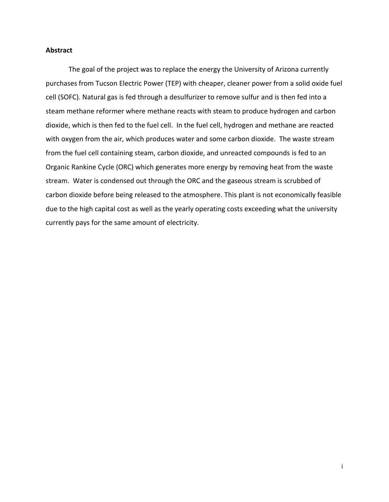## **Abstract**

The goal of the project was to replace the energy the University of Arizona currently purchases from Tucson Electric Power (TEP) with cheaper, cleaner power from a solid oxide fuel cell (SOFC). Natural gas is fed through a desulfurizer to remove sulfur and is then fed into a steam methane reformer where methane reacts with steam to produce hydrogen and carbon dioxide, which is then fed to the fuel cell. In the fuel cell, hydrogen and methane are reacted with oxygen from the air, which produces water and some carbon dioxide. The waste stream from the fuel cell containing steam, carbon dioxide, and unreacted compounds is fed to an Organic Rankine Cycle (ORC) which generates more energy by removing heat from the waste stream. Water is condensed out through the ORC and the gaseous stream is scrubbed of carbon dioxide before being released to the atmosphere. This plant is not economically feasible due to the high capital cost as well as the yearly operating costs exceeding what the university currently pays for the same amount of electricity.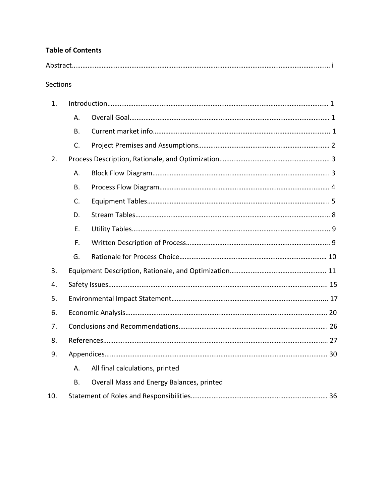## **Table of Contents**

## Sections

| 1.  |           |                                           |
|-----|-----------|-------------------------------------------|
|     | A.        |                                           |
|     | <b>B.</b> |                                           |
|     | C.        |                                           |
| 2.  |           |                                           |
|     | А.        |                                           |
|     | <b>B.</b> |                                           |
|     | C.        |                                           |
|     | D.        |                                           |
|     | E.        |                                           |
|     | F.        |                                           |
|     | G.        |                                           |
| 3.  |           |                                           |
| 4.  |           |                                           |
| 5.  |           |                                           |
| 6.  |           |                                           |
| 7.  |           |                                           |
| 8.  |           |                                           |
| 9.  |           |                                           |
|     | A.        | All final calculations, printed           |
|     | <b>B.</b> | Overall Mass and Energy Balances, printed |
| 10. |           |                                           |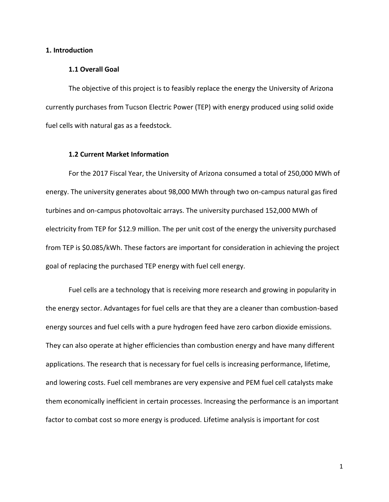## **1. Introduction**

### **1.1 Overall Goal**

The objective of this project is to feasibly replace the energy the University of Arizona currently purchases from Tucson Electric Power (TEP) with energy produced using solid oxide fuel cells with natural gas as a feedstock.

## **1.2 Current Market Information**

For the 2017 Fiscal Year, the University of Arizona consumed a total of 250,000 MWh of energy. The university generates about 98,000 MWh through two on-campus natural gas fired turbines and on-campus photovoltaic arrays. The university purchased 152,000 MWh of electricity from TEP for \$12.9 million. The per unit cost of the energy the university purchased from TEP is \$0.085/kWh. These factors are important for consideration in achieving the project goal of replacing the purchased TEP energy with fuel cell energy.

Fuel cells are a technology that is receiving more research and growing in popularity in the energy sector. Advantages for fuel cells are that they are a cleaner than combustion-based energy sources and fuel cells with a pure hydrogen feed have zero carbon dioxide emissions. They can also operate at higher efficiencies than combustion energy and have many different applications. The research that is necessary for fuel cells is increasing performance, lifetime, and lowering costs. Fuel cell membranes are very expensive and PEM fuel cell catalysts make them economically inefficient in certain processes. Increasing the performance is an important factor to combat cost so more energy is produced. Lifetime analysis is important for cost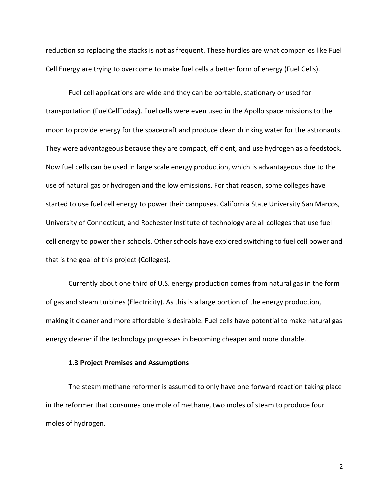reduction so replacing the stacks is not as frequent. These hurdles are what companies like Fuel Cell Energy are trying to overcome to make fuel cells a better form of energy (Fuel Cells).

Fuel cell applications are wide and they can be portable, stationary or used for transportation (FuelCellToday). Fuel cells were even used in the Apollo space missions to the moon to provide energy for the spacecraft and produce clean drinking water for the astronauts. They were advantageous because they are compact, efficient, and use hydrogen as a feedstock. Now fuel cells can be used in large scale energy production, which is advantageous due to the use of natural gas or hydrogen and the low emissions. For that reason, some colleges have started to use fuel cell energy to power their campuses. California State University San Marcos, University of Connecticut, and Rochester Institute of technology are all colleges that use fuel cell energy to power their schools. Other schools have explored switching to fuel cell power and that is the goal of this project (Colleges).

Currently about one third of U.S. energy production comes from natural gas in the form of gas and steam turbines (Electricity). As this is a large portion of the energy production, making it cleaner and more affordable is desirable. Fuel cells have potential to make natural gas energy cleaner if the technology progresses in becoming cheaper and more durable.

## **1.3 Project Premises and Assumptions**

The steam methane reformer is assumed to only have one forward reaction taking place in the reformer that consumes one mole of methane, two moles of steam to produce four moles of hydrogen.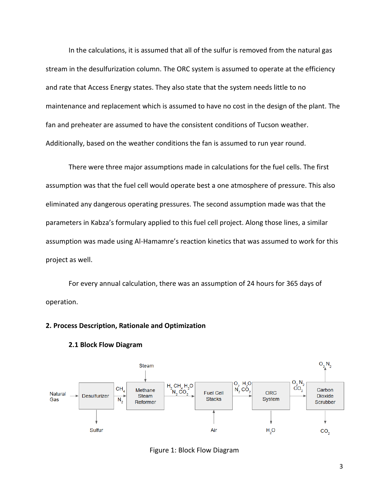In the calculations, it is assumed that all of the sulfur is removed from the natural gas stream in the desulfurization column. The ORC system is assumed to operate at the efficiency and rate that Access Energy states. They also state that the system needs little to no maintenance and replacement which is assumed to have no cost in the design of the plant. The fan and preheater are assumed to have the consistent conditions of Tucson weather. Additionally, based on the weather conditions the fan is assumed to run year round.

There were three major assumptions made in calculations for the fuel cells. The first assumption was that the fuel cell would operate best a one atmosphere of pressure. This also eliminated any dangerous operating pressures. The second assumption made was that the parameters in Kabza's formulary applied to this fuel cell project. Along those lines, a similar assumption was made using Al-Hamamre's reaction kinetics that was assumed to work for this project as well.

For every annual calculation, there was an assumption of 24 hours for 365 days of operation.

### **2. Process Description, Rationale and Optimization**



**2.1 Block Flow Diagram**

Figure 1: Block Flow Diagram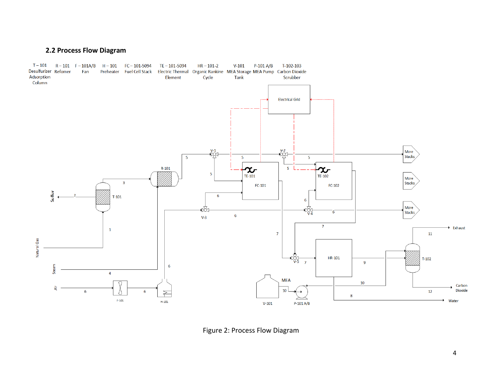## **2.2 Process Flow Diagram**



Figure 2: Process Flow Diagram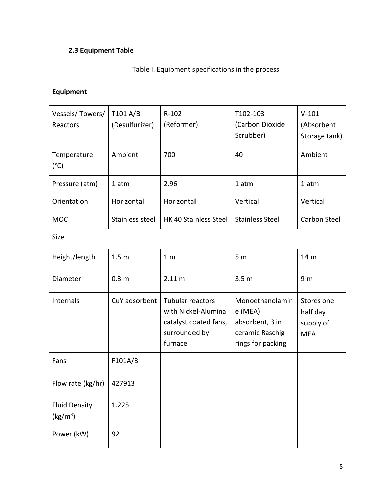# **2.3 Equipment Table**

| Equipment                                    |                            |                                                                                              |                                                                                         |                                                   |
|----------------------------------------------|----------------------------|----------------------------------------------------------------------------------------------|-----------------------------------------------------------------------------------------|---------------------------------------------------|
| Vessels/Towers/<br>Reactors                  | T101 A/B<br>(Desulfurizer) | $R-102$<br>(Reformer)                                                                        | T102-103<br>(Carbon Dioxide<br>Scrubber)                                                | $V-101$<br>(Absorbent<br>Storage tank)            |
| Temperature<br>$(^{\circ}C)$                 | Ambient                    | 700                                                                                          | 40                                                                                      | Ambient                                           |
| Pressure (atm)                               | 1 atm                      | 2.96                                                                                         | 1 atm                                                                                   | 1 atm                                             |
| Orientation                                  | Horizontal                 | Horizontal                                                                                   | Vertical                                                                                | Vertical                                          |
| <b>MOC</b>                                   | Stainless steel            | HK 40 Stainless Steel                                                                        | <b>Stainless Steel</b>                                                                  | <b>Carbon Steel</b>                               |
| Size                                         |                            |                                                                                              |                                                                                         |                                                   |
| Height/length                                | 1.5 <sub>m</sub>           | 1 <sub>m</sub>                                                                               | 5 <sub>m</sub>                                                                          | 14 m                                              |
| Diameter                                     | 0.3 <sub>m</sub>           | $2.11 \text{ m}$                                                                             | 3.5 <sub>m</sub>                                                                        | 9 <sub>m</sub>                                    |
| Internals                                    | CuY adsorbent              | Tubular reactors<br>with Nickel-Alumina<br>catalyst coated fans,<br>surrounded by<br>furnace | Monoethanolamin<br>$e$ (MEA)<br>absorbent, 3 in<br>ceramic Raschig<br>rings for packing | Stores one<br>half day<br>supply of<br><b>MEA</b> |
| Fans                                         | F101A/B                    |                                                                                              |                                                                                         |                                                   |
| Flow rate (kg/hr)                            | 427913                     |                                                                                              |                                                                                         |                                                   |
| <b>Fluid Density</b><br>(kg/m <sup>3</sup> ) | 1.225                      |                                                                                              |                                                                                         |                                                   |
| Power (kW)                                   | 92                         |                                                                                              |                                                                                         |                                                   |

# Table I. Equipment specifications in the process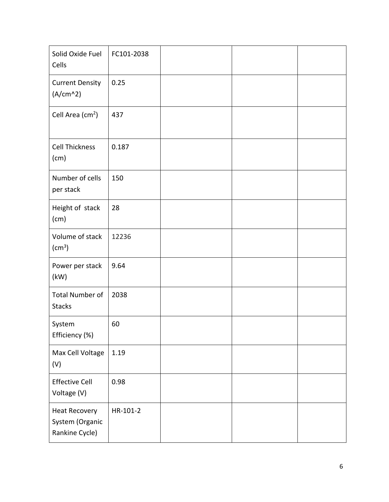| Solid Oxide Fuel<br>Cells                                 | FC101-2038 |  |  |
|-----------------------------------------------------------|------------|--|--|
| <b>Current Density</b><br>$(A/cm^2)$                      | 0.25       |  |  |
| Cell Area (cm <sup>2</sup> )                              | 437        |  |  |
| <b>Cell Thickness</b><br>(cm)                             | 0.187      |  |  |
| Number of cells<br>per stack                              | 150        |  |  |
| Height of stack<br>(cm)                                   | 28         |  |  |
| Volume of stack<br>$\text{(cm}^3)$                        | 12236      |  |  |
| Power per stack<br>(kW)                                   | 9.64       |  |  |
| <b>Total Number of</b><br><b>Stacks</b>                   | 2038       |  |  |
| System<br>Efficiency (%)                                  | 60         |  |  |
| Max Cell Voltage<br>(V)                                   | 1.19       |  |  |
| <b>Effective Cell</b><br>Voltage (V)                      | 0.98       |  |  |
| <b>Heat Recovery</b><br>System (Organic<br>Rankine Cycle) | HR-101-2   |  |  |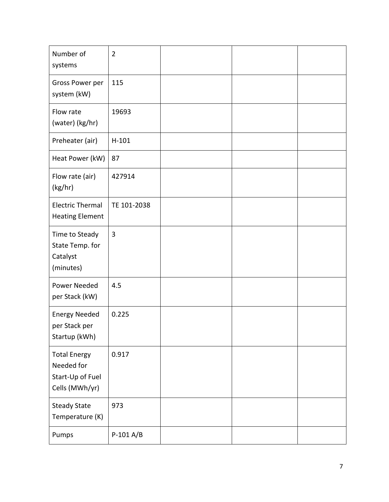| Number of<br>systems                                                    | $\overline{2}$ |  |  |
|-------------------------------------------------------------------------|----------------|--|--|
| Gross Power per<br>system (kW)                                          | 115            |  |  |
| Flow rate<br>(water) (kg/hr)                                            | 19693          |  |  |
| Preheater (air)                                                         | $H-101$        |  |  |
| Heat Power (kW)                                                         | 87             |  |  |
| Flow rate (air)<br>(kg/hr)                                              | 427914         |  |  |
| <b>Electric Thermal</b><br><b>Heating Element</b>                       | TE 101-2038    |  |  |
| Time to Steady<br>State Temp. for<br>Catalyst<br>(minutes)              | 3              |  |  |
| <b>Power Needed</b><br>per Stack (kW)                                   | 4.5            |  |  |
| <b>Energy Needed</b><br>per Stack per<br>Startup (kWh)                  | 0.225          |  |  |
| <b>Total Energy</b><br>Needed for<br>Start-Up of Fuel<br>Cells (MWh/yr) | 0.917          |  |  |
| <b>Steady State</b><br>Temperature (K)                                  | 973            |  |  |
| Pumps                                                                   | $P-101$ A/B    |  |  |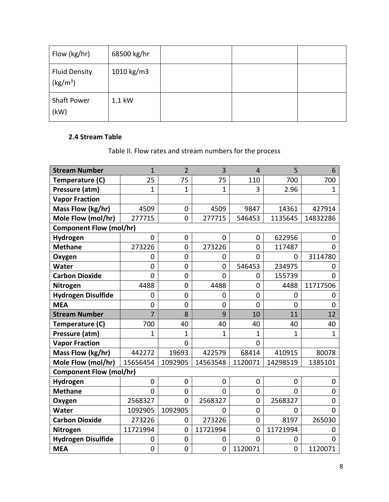| Flow (kg/hr)                                 | 68500 kg/hr |  |  |
|----------------------------------------------|-------------|--|--|
| <b>Fluid Density</b><br>(kg/m <sup>3</sup> ) | 1010 kg/m3  |  |  |
| <b>Shaft Power</b><br>(kW)                   | 1.1 kW      |  |  |

## **2.4 Stream Table**

## Table II. Flow rates and stream numbers for the process

| <b>Stream Number</b>           | $\mathbf{1}$   | $\overline{2}$ | $\overline{3}$ | $\overline{4}$ | 5              | 6            |
|--------------------------------|----------------|----------------|----------------|----------------|----------------|--------------|
| Temperature (C)                | 25             | 75             | 75             | 110            | 700            | 700          |
| Pressure (atm)                 | $\mathbf{1}$   | $\mathbf{1}$   | $\mathbf{1}$   | 3              | 2.96           | $\mathbf{1}$ |
| <b>Vapor Fraction</b>          |                |                |                |                |                |              |
| Mass Flow (kg/hr)              | 4509           | 0              | 4509           | 9847           | 14361          | 427914       |
| Mole Flow (mol/hr)             | 277715         | 0              | 277715         | 546453         | 1135645        | 14832286     |
| <b>Component Flow (mol/hr)</b> |                |                |                |                |                |              |
| Hydrogen                       | 0              | $\mathbf 0$    | 0              | 0              | 622956         | 0            |
| <b>Methane</b>                 | 273226         | $\mathbf 0$    | 273226         | 0              | 117487         | $\mathbf 0$  |
| Oxygen                         | 0              | 0              | 0              | 0              | 0              | 3114780      |
| Water                          | $\mathbf 0$    | 0              | 0              | 546453         | 234975         | 0            |
| <b>Carbon Dioxide</b>          | 0              | 0              | 0              | 0              | 155739         | 0            |
| Nitrogen                       | 4488           | 0              | 4488           | 0              | 4488           | 11717506     |
| <b>Hydrogen Disulfide</b>      | $\mathbf 0$    | 0              | 0              | 0              | 0              | 0            |
| <b>MEA</b>                     | $\overline{0}$ | 0              | $\overline{0}$ | $\overline{0}$ | $\overline{0}$ | 0            |
| <b>Stream Number</b>           | $\overline{7}$ | 8              | 9              | 10             | 11             | 12           |
| Temperature (C)                | 700            | 40             | 40             | 40             | 40             | 40           |
| Pressure (atm)                 | $\mathbf{1}$   | $\overline{1}$ | $\mathbf{1}$   | $\mathbf{1}$   | $\mathbf{1}$   | $\mathbf{1}$ |
| <b>Vapor Fraction</b>          |                | 0              |                | 0              |                |              |
| Mass Flow (kg/hr)              | 442272         | 19693          | 422579         | 68414          | 410915         | 80078        |
| Mole Flow (mol/hr)             | 15656454       | 1092905        | 14563548       | 1120071        | 14298519       | 1385101      |
| <b>Component Flow (mol/hr)</b> |                |                |                |                |                |              |
| Hydrogen                       | 0              | 0              | 0              | 0              | 0              | 0            |
| <b>Methane</b>                 | 0              | 0              | $\Omega$       | 0              | $\Omega$       | 0            |
| Oxygen                         | 2568327        | 0              | 2568327        | 0              | 2568327        | 0            |
| Water                          | 1092905        | 1092905        | $\Omega$       | 0              | 0              | $\Omega$     |
| <b>Carbon Dioxide</b>          | 273226         | 0              | 273226         | 0              | 8197           | 265030       |
| Nitrogen                       | 11721994       | 0              | 11721994       | 0              | 11721994       | 0            |
| <b>Hydrogen Disulfide</b>      | 0              | 0              | 0              | $\overline{0}$ | 0              | $\Omega$     |
| <b>MEA</b>                     | $\mathbf 0$    | $\mathbf 0$    | $\overline{0}$ | 1120071        | 0              | 1120071      |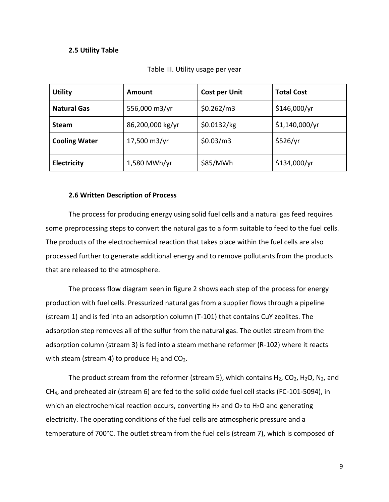### **2.5 Utility Table**

| <b>Utility</b>       | Amount           | <b>Cost per Unit</b> | <b>Total Cost</b> |
|----------------------|------------------|----------------------|-------------------|
| <b>Natural Gas</b>   | 556,000 m3/yr    | \$0.262/m3           | \$146,000/yr      |
| <b>Steam</b>         | 86,200,000 kg/yr | \$0.0132/kg          | \$1,140,000/yr    |
| <b>Cooling Water</b> | 17,500 m3/yr     | \$0.03/m3            | \$526/yr          |
| <b>Electricity</b>   | 1,580 MWh/yr     | \$85/MWh             | \$134,000/yr      |

## Table III. Utility usage per year

## **2.6 Written Description of Process**

The process for producing energy using solid fuel cells and a natural gas feed requires some preprocessing steps to convert the natural gas to a form suitable to feed to the fuel cells. The products of the electrochemical reaction that takes place within the fuel cells are also processed further to generate additional energy and to remove pollutants from the products that are released to the atmosphere.

The process flow diagram seen in figure 2 shows each step of the process for energy production with fuel cells. Pressurized natural gas from a supplier flows through a pipeline (stream 1) and is fed into an adsorption column (T-101) that contains CuY zeolites. The adsorption step removes all of the sulfur from the natural gas. The outlet stream from the adsorption column (stream 3) is fed into a steam methane reformer (R-102) where it reacts with steam (stream 4) to produce  $H_2$  and CO<sub>2</sub>.

The product stream from the reformer (stream 5), which contains  $H_2$ , CO<sub>2</sub>, H<sub>2</sub>O, N<sub>2</sub>, and CH4, and preheated air (stream 6) are fed to the solid oxide fuel cell stacks (FC-101-5094), in which an electrochemical reaction occurs, converting  $H_2$  and  $O_2$  to  $H_2O$  and generating electricity. The operating conditions of the fuel cells are atmospheric pressure and a temperature of 700°C. The outlet stream from the fuel cells (stream 7), which is composed of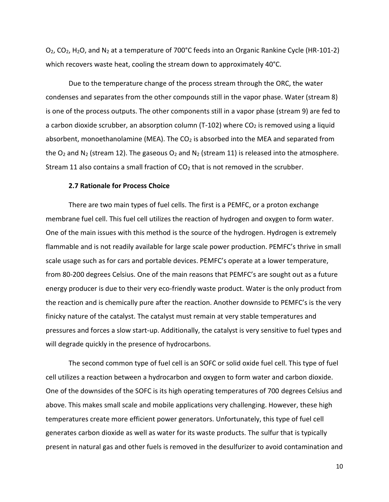$O_2$ ,  $CO_2$ ,  $H_2O$ , and  $N_2$  at a temperature of 700°C feeds into an Organic Rankine Cycle (HR-101-2) which recovers waste heat, cooling the stream down to approximately 40°C.

Due to the temperature change of the process stream through the ORC, the water condenses and separates from the other compounds still in the vapor phase. Water (stream 8) is one of the process outputs. The other components still in a vapor phase (stream 9) are fed to a carbon dioxide scrubber, an absorption column (T-102) where  $CO<sub>2</sub>$  is removed using a liquid absorbent, monoethanolamine (MEA). The  $CO<sub>2</sub>$  is absorbed into the MEA and separated from the  $O_2$  and  $N_2$  (stream 12). The gaseous  $O_2$  and  $N_2$  (stream 11) is released into the atmosphere. Stream 11 also contains a small fraction of  $CO<sub>2</sub>$  that is not removed in the scrubber.

#### **2.7 Rationale for Process Choice**

There are two main types of fuel cells. The first is a PEMFC, or a proton exchange membrane fuel cell. This fuel cell utilizes the reaction of hydrogen and oxygen to form water. One of the main issues with this method is the source of the hydrogen. Hydrogen is extremely flammable and is not readily available for large scale power production. PEMFC's thrive in small scale usage such as for cars and portable devices. PEMFC's operate at a lower temperature, from 80-200 degrees Celsius. One of the main reasons that PEMFC's are sought out as a future energy producer is due to their very eco-friendly waste product. Water is the only product from the reaction and is chemically pure after the reaction. Another downside to PEMFC's is the very finicky nature of the catalyst. The catalyst must remain at very stable temperatures and pressures and forces a slow start-up. Additionally, the catalyst is very sensitive to fuel types and will degrade quickly in the presence of hydrocarbons.

The second common type of fuel cell is an SOFC or solid oxide fuel cell. This type of fuel cell utilizes a reaction between a hydrocarbon and oxygen to form water and carbon dioxide. One of the downsides of the SOFC is its high operating temperatures of 700 degrees Celsius and above. This makes small scale and mobile applications very challenging. However, these high temperatures create more efficient power generators. Unfortunately, this type of fuel cell generates carbon dioxide as well as water for its waste products. The sulfur that is typically present in natural gas and other fuels is removed in the desulfurizer to avoid contamination and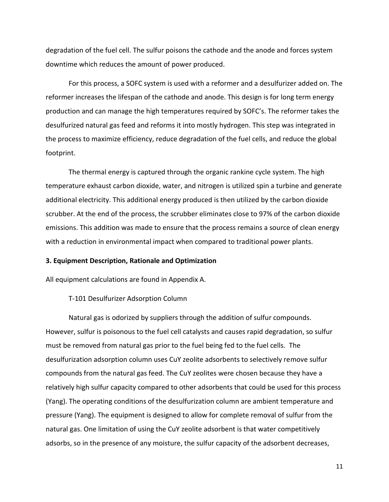degradation of the fuel cell. The sulfur poisons the cathode and the anode and forces system downtime which reduces the amount of power produced.

For this process, a SOFC system is used with a reformer and a desulfurizer added on. The reformer increases the lifespan of the cathode and anode. This design is for long term energy production and can manage the high temperatures required by SOFC's. The reformer takes the desulfurized natural gas feed and reforms it into mostly hydrogen. This step was integrated in the process to maximize efficiency, reduce degradation of the fuel cells, and reduce the global footprint.

The thermal energy is captured through the organic rankine cycle system. The high temperature exhaust carbon dioxide, water, and nitrogen is utilized spin a turbine and generate additional electricity. This additional energy produced is then utilized by the carbon dioxide scrubber. At the end of the process, the scrubber eliminates close to 97% of the carbon dioxide emissions. This addition was made to ensure that the process remains a source of clean energy with a reduction in environmental impact when compared to traditional power plants.

#### **3. Equipment Description, Rationale and Optimization**

All equipment calculations are found in Appendix A.

## T-101 Desulfurizer Adsorption Column

Natural gas is odorized by suppliers through the addition of sulfur compounds. However, sulfur is poisonous to the fuel cell catalysts and causes rapid degradation, so sulfur must be removed from natural gas prior to the fuel being fed to the fuel cells. The desulfurization adsorption column uses CuY zeolite adsorbents to selectively remove sulfur compounds from the natural gas feed. The CuY zeolites were chosen because they have a relatively high sulfur capacity compared to other adsorbents that could be used for this process (Yang). The operating conditions of the desulfurization column are ambient temperature and pressure (Yang). The equipment is designed to allow for complete removal of sulfur from the natural gas. One limitation of using the CuY zeolite adsorbent is that water competitively adsorbs, so in the presence of any moisture, the sulfur capacity of the adsorbent decreases,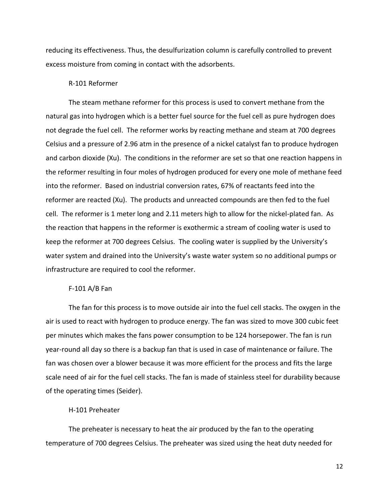reducing its effectiveness. Thus, the desulfurization column is carefully controlled to prevent excess moisture from coming in contact with the adsorbents.

## R-101 Reformer

The steam methane reformer for this process is used to convert methane from the natural gas into hydrogen which is a better fuel source for the fuel cell as pure hydrogen does not degrade the fuel cell. The reformer works by reacting methane and steam at 700 degrees Celsius and a pressure of 2.96 atm in the presence of a nickel catalyst fan to produce hydrogen and carbon dioxide (Xu). The conditions in the reformer are set so that one reaction happens in the reformer resulting in four moles of hydrogen produced for every one mole of methane feed into the reformer. Based on industrial conversion rates, 67% of reactants feed into the reformer are reacted (Xu). The products and unreacted compounds are then fed to the fuel cell. The reformer is 1 meter long and 2.11 meters high to allow for the nickel-plated fan. As the reaction that happens in the reformer is exothermic a stream of cooling water is used to keep the reformer at 700 degrees Celsius. The cooling water is supplied by the University's water system and drained into the University's waste water system so no additional pumps or infrastructure are required to cool the reformer.

#### F-101 A/B Fan

The fan for this process is to move outside air into the fuel cell stacks. The oxygen in the air is used to react with hydrogen to produce energy. The fan was sized to move 300 cubic feet per minutes which makes the fans power consumption to be 124 horsepower. The fan is run year-round all day so there is a backup fan that is used in case of maintenance or failure. The fan was chosen over a blower because it was more efficient for the process and fits the large scale need of air for the fuel cell stacks. The fan is made of stainless steel for durability because of the operating times (Seider).

#### H-101 Preheater

The preheater is necessary to heat the air produced by the fan to the operating temperature of 700 degrees Celsius. The preheater was sized using the heat duty needed for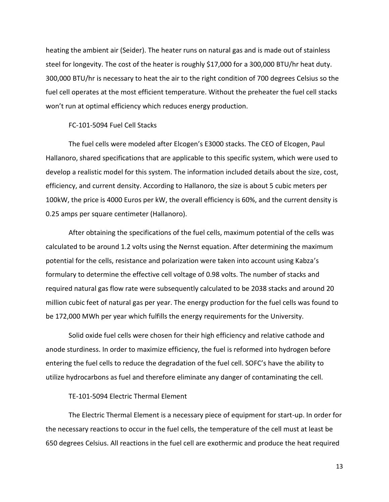heating the ambient air (Seider). The heater runs on natural gas and is made out of stainless steel for longevity. The cost of the heater is roughly \$17,000 for a 300,000 BTU/hr heat duty. 300,000 BTU/hr is necessary to heat the air to the right condition of 700 degrees Celsius so the fuel cell operates at the most efficient temperature. Without the preheater the fuel cell stacks won't run at optimal efficiency which reduces energy production.

## FC-101-5094 Fuel Cell Stacks

The fuel cells were modeled after Elcogen's E3000 stacks. The CEO of Elcogen, Paul Hallanoro, shared specifications that are applicable to this specific system, which were used to develop a realistic model for this system. The information included details about the size, cost, efficiency, and current density. According to Hallanoro, the size is about 5 cubic meters per 100kW, the price is 4000 Euros per kW, the overall efficiency is 60%, and the current density is 0.25 amps per square centimeter (Hallanoro).

After obtaining the specifications of the fuel cells, maximum potential of the cells was calculated to be around 1.2 volts using the Nernst equation. After determining the maximum potential for the cells, resistance and polarization were taken into account using Kabza's formulary to determine the effective cell voltage of 0.98 volts. The number of stacks and required natural gas flow rate were subsequently calculated to be 2038 stacks and around 20 million cubic feet of natural gas per year. The energy production for the fuel cells was found to be 172,000 MWh per year which fulfills the energy requirements for the University.

Solid oxide fuel cells were chosen for their high efficiency and relative cathode and anode sturdiness. In order to maximize efficiency, the fuel is reformed into hydrogen before entering the fuel cells to reduce the degradation of the fuel cell. SOFC's have the ability to utilize hydrocarbons as fuel and therefore eliminate any danger of contaminating the cell.

#### TE-101-5094 Electric Thermal Element

The Electric Thermal Element is a necessary piece of equipment for start-up. In order for the necessary reactions to occur in the fuel cells, the temperature of the cell must at least be 650 degrees Celsius. All reactions in the fuel cell are exothermic and produce the heat required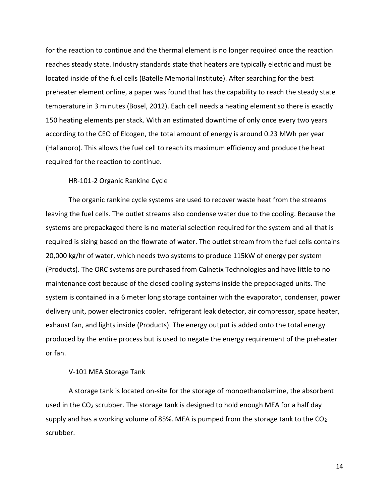for the reaction to continue and the thermal element is no longer required once the reaction reaches steady state. Industry standards state that heaters are typically electric and must be located inside of the fuel cells (Batelle Memorial Institute). After searching for the best preheater element online, a paper was found that has the capability to reach the steady state temperature in 3 minutes (Bosel, 2012). Each cell needs a heating element so there is exactly 150 heating elements per stack. With an estimated downtime of only once every two years according to the CEO of Elcogen, the total amount of energy is around 0.23 MWh per year (Hallanoro). This allows the fuel cell to reach its maximum efficiency and produce the heat required for the reaction to continue.

## HR-101-2 Organic Rankine Cycle

The organic rankine cycle systems are used to recover waste heat from the streams leaving the fuel cells. The outlet streams also condense water due to the cooling. Because the systems are prepackaged there is no material selection required for the system and all that is required is sizing based on the flowrate of water. The outlet stream from the fuel cells contains 20,000 kg/hr of water, which needs two systems to produce 115kW of energy per system (Products). The ORC systems are purchased from Calnetix Technologies and have little to no maintenance cost because of the closed cooling systems inside the prepackaged units. The system is contained in a 6 meter long storage container with the evaporator, condenser, power delivery unit, power electronics cooler, refrigerant leak detector, air compressor, space heater, exhaust fan, and lights inside (Products). The energy output is added onto the total energy produced by the entire process but is used to negate the energy requirement of the preheater or fan.

#### V-101 MEA Storage Tank

A storage tank is located on-site for the storage of monoethanolamine, the absorbent used in the  $CO<sub>2</sub>$  scrubber. The storage tank is designed to hold enough MEA for a half day supply and has a working volume of 85%. MEA is pumped from the storage tank to the  $CO<sub>2</sub>$ scrubber.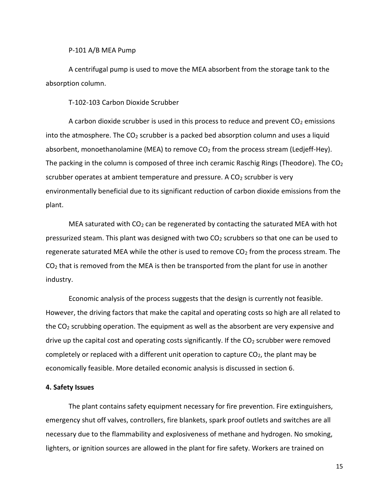P-101 A/B MEA Pump

A centrifugal pump is used to move the MEA absorbent from the storage tank to the absorption column.

T-102-103 Carbon Dioxide Scrubber

A carbon dioxide scrubber is used in this process to reduce and prevent  $CO<sub>2</sub>$  emissions into the atmosphere. The  $CO<sub>2</sub>$  scrubber is a packed bed absorption column and uses a liquid absorbent, monoethanolamine (MEA) to remove  $CO<sub>2</sub>$  from the process stream (Ledjeff-Hey). The packing in the column is composed of three inch ceramic Raschig Rings (Theodore). The  $CO<sub>2</sub>$ scrubber operates at ambient temperature and pressure. A  $CO<sub>2</sub>$  scrubber is very environmentally beneficial due to its significant reduction of carbon dioxide emissions from the plant.

MEA saturated with  $CO<sub>2</sub>$  can be regenerated by contacting the saturated MEA with hot pressurized steam. This plant was designed with two  $CO<sub>2</sub>$  scrubbers so that one can be used to regenerate saturated MEA while the other is used to remove  $CO<sub>2</sub>$  from the process stream. The  $CO<sub>2</sub>$  that is removed from the MEA is then be transported from the plant for use in another industry.

Economic analysis of the process suggests that the design is currently not feasible. However, the driving factors that make the capital and operating costs so high are all related to the  $CO<sub>2</sub>$  scrubbing operation. The equipment as well as the absorbent are very expensive and drive up the capital cost and operating costs significantly. If the  $CO<sub>2</sub>$  scrubber were removed completely or replaced with a different unit operation to capture  $CO<sub>2</sub>$ , the plant may be economically feasible. More detailed economic analysis is discussed in section 6.

#### **4. Safety Issues**

The plant contains safety equipment necessary for fire prevention. Fire extinguishers, emergency shut off valves, controllers, fire blankets, spark proof outlets and switches are all necessary due to the flammability and explosiveness of methane and hydrogen. No smoking, lighters, or ignition sources are allowed in the plant for fire safety. Workers are trained on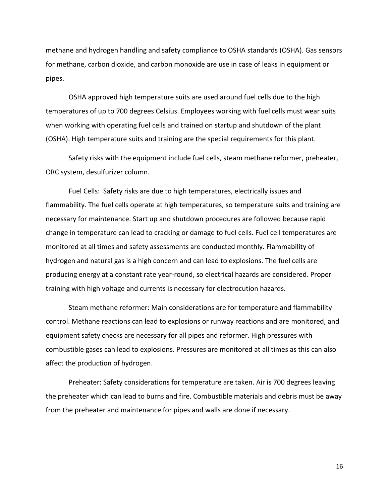methane and hydrogen handling and safety compliance to OSHA standards (OSHA). Gas sensors for methane, carbon dioxide, and carbon monoxide are use in case of leaks in equipment or pipes.

OSHA approved high temperature suits are used around fuel cells due to the high temperatures of up to 700 degrees Celsius. Employees working with fuel cells must wear suits when working with operating fuel cells and trained on startup and shutdown of the plant (OSHA). High temperature suits and training are the special requirements for this plant.

Safety risks with the equipment include fuel cells, steam methane reformer, preheater, ORC system, desulfurizer column.

Fuel Cells: Safety risks are due to high temperatures, electrically issues and flammability. The fuel cells operate at high temperatures, so temperature suits and training are necessary for maintenance. Start up and shutdown procedures are followed because rapid change in temperature can lead to cracking or damage to fuel cells. Fuel cell temperatures are monitored at all times and safety assessments are conducted monthly. Flammability of hydrogen and natural gas is a high concern and can lead to explosions. The fuel cells are producing energy at a constant rate year-round, so electrical hazards are considered. Proper training with high voltage and currents is necessary for electrocution hazards.

Steam methane reformer: Main considerations are for temperature and flammability control. Methane reactions can lead to explosions or runway reactions and are monitored, and equipment safety checks are necessary for all pipes and reformer. High pressures with combustible gases can lead to explosions. Pressures are monitored at all times as this can also affect the production of hydrogen.

Preheater: Safety considerations for temperature are taken. Air is 700 degrees leaving the preheater which can lead to burns and fire. Combustible materials and debris must be away from the preheater and maintenance for pipes and walls are done if necessary.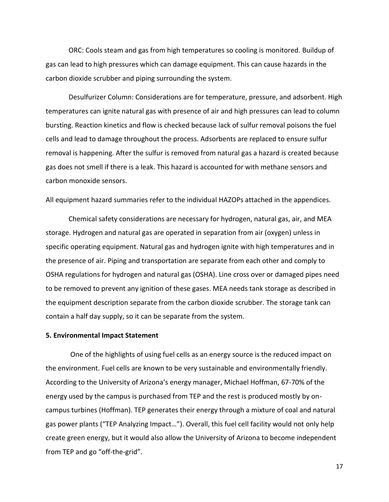ORC: Cools steam and gas from high temperatures so cooling is monitored. Buildup of gas can lead to high pressures which can damage equipment. This can cause hazards in the carbon dioxide scrubber and piping surrounding the system.

Desulfurizer Column: Considerations are for temperature, pressure, and adsorbent. High temperatures can ignite natural gas with presence of air and high pressures can lead to column bursting. Reaction kinetics and flow is checked because lack of sulfur removal poisons the fuel cells and lead to damage throughout the process. Adsorbents are replaced to ensure sulfur removal is happening. After the sulfur is removed from natural gas a hazard is created because gas does not smell if there is a leak. This hazard is accounted for with methane sensors and carbon monoxide sensors.

All equipment hazard summaries refer to the individual HAZOPs attached in the appendices.

Chemical safety considerations are necessary for hydrogen, natural gas, air, and MEA storage. Hydrogen and natural gas are operated in separation from air (oxygen) unless in specific operating equipment. Natural gas and hydrogen ignite with high temperatures and in the presence of air. Piping and transportation are separate from each other and comply to OSHA regulations for hydrogen and natural gas (OSHA). Line cross over or damaged pipes need to be removed to prevent any ignition of these gases. MEA needs tank storage as described in the equipment description separate from the carbon dioxide scrubber. The storage tank can contain a half day supply, so it can be separate from the system.

#### **5. Environmental Impact Statement**

One of the highlights of using fuel cells as an energy source is the reduced impact on the environment. Fuel cells are known to be very sustainable and environmentally friendly. According to the University of Arizona's energy manager, Michael Hoffman, 67-70% of the energy used by the campus is purchased from TEP and the rest is produced mostly by oncampus turbines (Hoffman). TEP generates their energy through a mixture of coal and natural gas power plants ("TEP Analyzing Impact…"). Overall, this fuel cell facility would not only help create green energy, but it would also allow the University of Arizona to become independent from TEP and go "off-the-grid".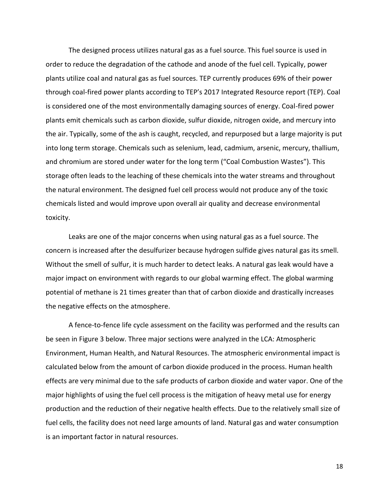The designed process utilizes natural gas as a fuel source. This fuel source is used in order to reduce the degradation of the cathode and anode of the fuel cell. Typically, power plants utilize coal and natural gas as fuel sources. TEP currently produces 69% of their power through coal-fired power plants according to TEP's 2017 Integrated Resource report (TEP). Coal is considered one of the most environmentally damaging sources of energy. Coal-fired power plants emit chemicals such as carbon dioxide, sulfur dioxide, nitrogen oxide, and mercury into the air. Typically, some of the ash is caught, recycled, and repurposed but a large majority is put into long term storage. Chemicals such as selenium, lead, cadmium, arsenic, mercury, thallium, and chromium are stored under water for the long term ("Coal Combustion Wastes"). This storage often leads to the leaching of these chemicals into the water streams and throughout the natural environment. The designed fuel cell process would not produce any of the toxic chemicals listed and would improve upon overall air quality and decrease environmental toxicity.

Leaks are one of the major concerns when using natural gas as a fuel source. The concern is increased after the desulfurizer because hydrogen sulfide gives natural gas its smell. Without the smell of sulfur, it is much harder to detect leaks. A natural gas leak would have a major impact on environment with regards to our global warming effect. The global warming potential of methane is 21 times greater than that of carbon dioxide and drastically increases the negative effects on the atmosphere.

A fence-to-fence life cycle assessment on the facility was performed and the results can be seen in Figure 3 below. Three major sections were analyzed in the LCA: Atmospheric Environment, Human Health, and Natural Resources. The atmospheric environmental impact is calculated below from the amount of carbon dioxide produced in the process. Human health effects are very minimal due to the safe products of carbon dioxide and water vapor. One of the major highlights of using the fuel cell process is the mitigation of heavy metal use for energy production and the reduction of their negative health effects. Due to the relatively small size of fuel cells, the facility does not need large amounts of land. Natural gas and water consumption is an important factor in natural resources.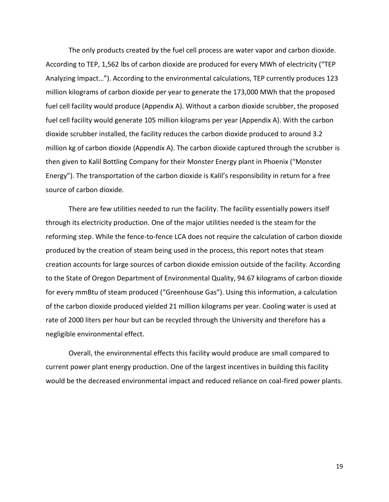The only products created by the fuel cell process are water vapor and carbon dioxide. According to TEP, 1,562 lbs of carbon dioxide are produced for every MWh of electricity ("TEP Analyzing Impact…"). According to the environmental calculations, TEP currently produces 123 million kilograms of carbon dioxide per year to generate the 173,000 MWh that the proposed fuel cell facility would produce (Appendix A). Without a carbon dioxide scrubber, the proposed fuel cell facility would generate 105 million kilograms per year (Appendix A). With the carbon dioxide scrubber installed, the facility reduces the carbon dioxide produced to around 3.2 million kg of carbon dioxide (Appendix A). The carbon dioxide captured through the scrubber is then given to Kalil Bottling Company for their Monster Energy plant in Phoenix ("Monster Energy"). The transportation of the carbon dioxide is Kalil's responsibility in return for a free source of carbon dioxide.

There are few utilities needed to run the facility. The facility essentially powers itself through its electricity production. One of the major utilities needed is the steam for the reforming step. While the fence-to-fence LCA does not require the calculation of carbon dioxide produced by the creation of steam being used in the process, this report notes that steam creation accounts for large sources of carbon dioxide emission outside of the facility. According to the State of Oregon Department of Environmental Quality, 94.67 kilograms of carbon dioxide for every mmBtu of steam produced ("Greenhouse Gas"). Using this information, a calculation of the carbon dioxide produced yielded 21 million kilograms per year. Cooling water is used at rate of 2000 liters per hour but can be recycled through the University and therefore has a negligible environmental effect.

Overall, the environmental effects this facility would produce are small compared to current power plant energy production. One of the largest incentives in building this facility would be the decreased environmental impact and reduced reliance on coal-fired power plants.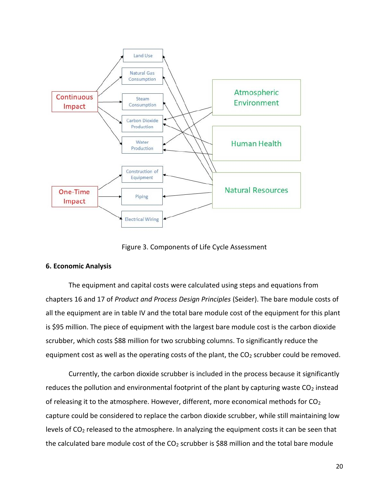

Figure 3. Components of Life Cycle Assessment

## **6. Economic Analysis**

The equipment and capital costs were calculated using steps and equations from chapters 16 and 17 of *Product and Process Design Principles* (Seider). The bare module costs of all the equipment are in table IV and the total bare module cost of the equipment for this plant is \$95 million. The piece of equipment with the largest bare module cost is the carbon dioxide scrubber, which costs \$88 million for two scrubbing columns. To significantly reduce the equipment cost as well as the operating costs of the plant, the CO<sub>2</sub> scrubber could be removed.

Currently, the carbon dioxide scrubber is included in the process because it significantly reduces the pollution and environmental footprint of the plant by capturing waste  $CO<sub>2</sub>$  instead of releasing it to the atmosphere. However, different, more economical methods for  $CO<sub>2</sub>$ capture could be considered to replace the carbon dioxide scrubber, while still maintaining low levels of  $CO<sub>2</sub>$  released to the atmosphere. In analyzing the equipment costs it can be seen that the calculated bare module cost of the  $CO<sub>2</sub>$  scrubber is \$88 million and the total bare module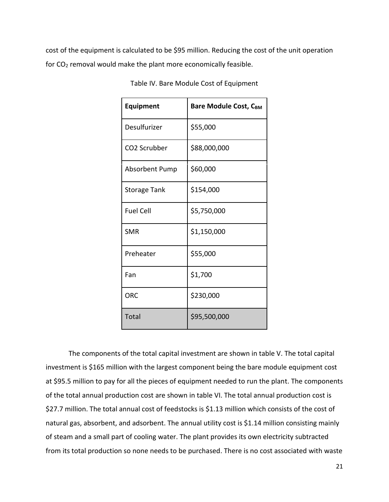cost of the equipment is calculated to be \$95 million. Reducing the cost of the unit operation for CO<sub>2</sub> removal would make the plant more economically feasible.

| <b>Equipment</b>      | <b>Bare Module Cost, CBM</b> |
|-----------------------|------------------------------|
| Desulfurizer          | \$55,000                     |
| CO2 Scrubber          | \$88,000,000                 |
| <b>Absorbent Pump</b> | \$60,000                     |
| <b>Storage Tank</b>   | \$154,000                    |
| <b>Fuel Cell</b>      | \$5,750,000                  |
| <b>SMR</b>            | \$1,150,000                  |
| Preheater             | \$55,000                     |
| Fan                   | \$1,700                      |
| ORC                   | \$230,000                    |
| Total                 | \$95,500,000                 |

Table IV. Bare Module Cost of Equipment

The components of the total capital investment are shown in table V. The total capital investment is \$165 million with the largest component being the bare module equipment cost at \$95.5 million to pay for all the pieces of equipment needed to run the plant. The components of the total annual production cost are shown in table VI. The total annual production cost is \$27.7 million. The total annual cost of feedstocks is \$1.13 million which consists of the cost of natural gas, absorbent, and adsorbent. The annual utility cost is \$1.14 million consisting mainly of steam and a small part of cooling water. The plant provides its own electricity subtracted from its total production so none needs to be purchased. There is no cost associated with waste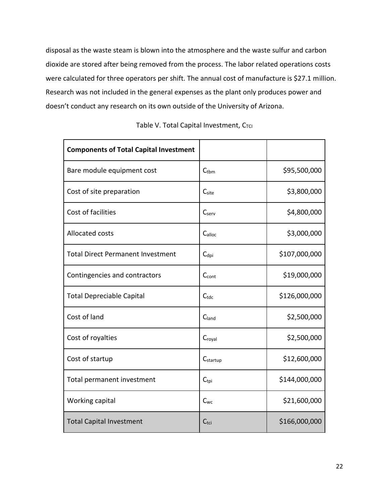disposal as the waste steam is blown into the atmosphere and the waste sulfur and carbon dioxide are stored after being removed from the process. The labor related operations costs were calculated for three operators per shift. The annual cost of manufacture is \$27.1 million. Research was not included in the general expenses as the plant only produces power and doesn't conduct any research on its own outside of the University of Arizona.

| <b>Components of Total Capital Investment</b> |                    |               |
|-----------------------------------------------|--------------------|---------------|
| Bare module equipment cost                    | $C_{tbm}$          | \$95,500,000  |
| Cost of site preparation                      | C <sub>site</sub>  | \$3,800,000   |
| Cost of facilities                            | C <sub>serv</sub>  | \$4,800,000   |
| Allocated costs                               | $C_{\text{alloc}}$ | \$3,000,000   |
| <b>Total Direct Permanent Investment</b>      | $C_{\text{dpi}}$   | \$107,000,000 |
| Contingencies and contractors                 | $C_{\text{cont}}$  | \$19,000,000  |
| <b>Total Depreciable Capital</b>              | $C_{tdc}$          | \$126,000,000 |
| Cost of land                                  | C <sub>land</sub>  | \$2,500,000   |
| Cost of royalties                             | Croyal             | \$2,500,000   |
| Cost of startup                               | Cstartup           | \$12,600,000  |
| Total permanent investment                    | $C_{\text{tri}}$   | \$144,000,000 |
| Working capital                               | $C_{wc}$           | \$21,600,000  |
| <b>Total Capital Investment</b>               | Ctci               | \$166,000,000 |

Table V. Total Capital Investment, CTCI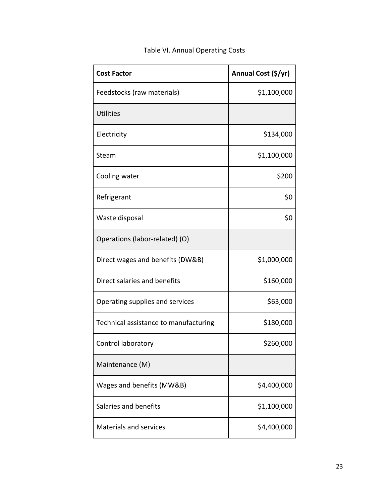| <b>Cost Factor</b>                    | Annual Cost (\$/yr) |
|---------------------------------------|---------------------|
| Feedstocks (raw materials)            | \$1,100,000         |
| <b>Utilities</b>                      |                     |
| Electricity                           | \$134,000           |
| Steam                                 | \$1,100,000         |
| Cooling water                         | \$200               |
| Refrigerant                           | \$0                 |
| Waste disposal                        | \$0                 |
| Operations (labor-related) (O)        |                     |
| Direct wages and benefits (DW&B)      | \$1,000,000         |
| Direct salaries and benefits          | \$160,000           |
| Operating supplies and services       | \$63,000            |
| Technical assistance to manufacturing | \$180,000           |
| Control laboratory                    | \$260,000           |
| Maintenance (M)                       |                     |
| Wages and benefits (MW&B)             | \$4,400,000         |
| Salaries and benefits                 | \$1,100,000         |
| <b>Materials and services</b>         | \$4,400,000         |

# Table VI. Annual Operating Costs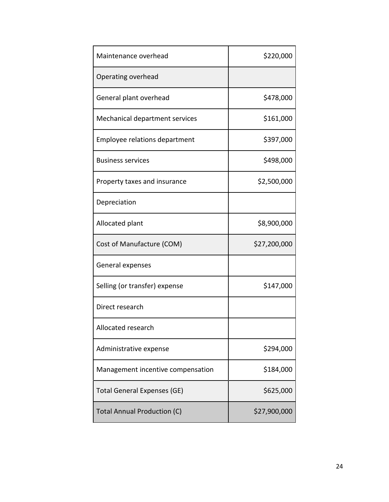| Maintenance overhead               | \$220,000    |
|------------------------------------|--------------|
| Operating overhead                 |              |
| General plant overhead             | \$478,000    |
| Mechanical department services     | \$161,000    |
| Employee relations department      | \$397,000    |
| <b>Business services</b>           | \$498,000    |
| Property taxes and insurance       | \$2,500,000  |
| Depreciation                       |              |
| Allocated plant                    | \$8,900,000  |
| Cost of Manufacture (COM)          | \$27,200,000 |
| General expenses                   |              |
| Selling (or transfer) expense      | \$147,000    |
| Direct research                    |              |
| Allocated research                 |              |
| Administrative expense             | \$294,000    |
| Management incentive compensation  | \$184,000    |
| <b>Total General Expenses (GE)</b> | \$625,000    |
| <b>Total Annual Production (C)</b> | \$27,900,000 |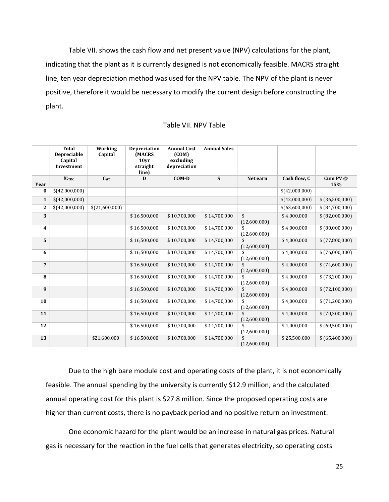Table VII. shows the cash flow and net present value (NPV) calculations for the plant, indicating that the plant as it is currently designed is not economically feasible. MACRS straight line, ten year depreciation method was used for the NPV table. The NPV of the plant is never positive, therefore it would be necessary to modify the current design before constructing the plant.

|              | <b>Total</b><br><b>Depreciable</b><br>Capital<br>Investment | Working<br>Capital | <b>Depreciation</b><br>(MACRS<br>10 <sub>vr</sub><br>straight<br>line) | <b>Annual Cost</b><br>(COM)<br>excluding<br>depreciation | <b>Annual Sales</b> |                                    |                |                   |
|--------------|-------------------------------------------------------------|--------------------|------------------------------------------------------------------------|----------------------------------------------------------|---------------------|------------------------------------|----------------|-------------------|
| Year         | <b>fC</b> TDC                                               | C <sub>WC</sub>    | D                                                                      | $COM-D$                                                  | S                   | Net earn                           | Cash flow, C   | Cum PV $@$<br>15% |
| $\bf{0}$     | \$(42,000,000)                                              |                    |                                                                        |                                                          |                     |                                    | \$(42,000,000) |                   |
| $\mathbf{1}$ | \$(42,000,000)                                              |                    |                                                                        |                                                          |                     |                                    | \$(42,000,000) | \$ (36,500,000)   |
| 2            | \$(42,000,000)                                              | \$(21,600,000)     |                                                                        |                                                          |                     |                                    | \$(63,600,000) | \$ (84,700,000)   |
| 3            |                                                             |                    | \$16,500,000                                                           | \$10,700,000                                             | \$14,700,000        | $\mathbf{\hat{S}}$<br>(12,600,000) | \$4,000,000    | \$ (82,000,000)   |
| 4            |                                                             |                    | \$16,500,000                                                           | \$10,700,000                                             | \$14,700,000        | (12,600,000)                       | \$4,000,000    | \$ (80,000,000)   |
| 5            |                                                             |                    | \$16,500,000                                                           | \$10,700,000                                             | \$14,700,000        | (12,600,000)                       | \$4,000,000    | \$(77,800,000)    |
| 6            |                                                             |                    | \$16,500,000                                                           | \$10,700,000                                             | \$14,700,000        | (12,600,000)                       | \$4,000,000    | \$(76,000,000)    |
| 7            |                                                             |                    | \$16,500,000                                                           | \$10,700,000                                             | \$14,700,000        | \$<br>(12,600,000)                 | \$4,000,000    | \$(74,600,000)    |
| 8            |                                                             |                    | \$16,500,000                                                           | \$10,700,000                                             | \$14,700,000        | (12,600,000)                       | \$4,000,000    | \$ (73,200,000)   |
| 9            |                                                             |                    | \$16,500,000                                                           | \$10,700,000                                             | \$14,700,000        | (12,600,000)                       | \$4,000,000    | \$ (72,100,000)   |
| 10           |                                                             |                    | \$16,500,000                                                           | \$10,700,000                                             | \$14,700,000        | \$<br>(12,600,000)                 | \$4,000,000    | \$(71,200,000)    |
| 11           |                                                             |                    | \$16,500,000                                                           | \$10,700,000                                             | \$14,700,000        | \$<br>(12,600,000)                 | \$4,000,000    | \$(70,300,000)    |
| 12           |                                                             |                    | \$16,500,000                                                           | \$10,700,000                                             | \$14,700,000        | (12,600,000)                       | \$4,000,000    | \$ (69,500,000)   |
| 13           |                                                             | \$21,600,000       | \$16,500,000                                                           | \$10,700,000                                             | \$14,700,000        | (12,600,000)                       | \$25,500,000   | \$ (65,400,000)   |

Table VII. NPV Table

Due to the high bare module cost and operating costs of the plant, it is not economically feasible. The annual spending by the university is currently \$12.9 million, and the calculated annual operating cost for this plant is \$27.8 million. Since the proposed operating costs are higher than current costs, there is no payback period and no positive return on investment.

One economic hazard for the plant would be an increase in natural gas prices. Natural gas is necessary for the reaction in the fuel cells that generates electricity, so operating costs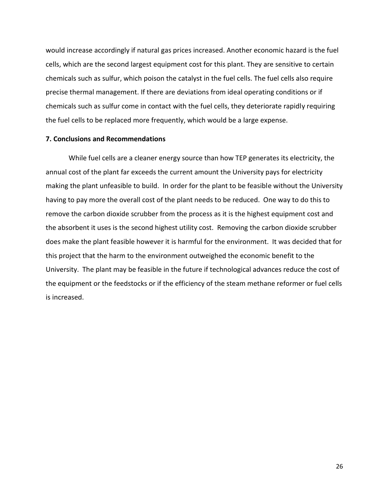would increase accordingly if natural gas prices increased. Another economic hazard is the fuel cells, which are the second largest equipment cost for this plant. They are sensitive to certain chemicals such as sulfur, which poison the catalyst in the fuel cells. The fuel cells also require precise thermal management. If there are deviations from ideal operating conditions or if chemicals such as sulfur come in contact with the fuel cells, they deteriorate rapidly requiring the fuel cells to be replaced more frequently, which would be a large expense.

## **7. Conclusions and Recommendations**

While fuel cells are a cleaner energy source than how TEP generates its electricity, the annual cost of the plant far exceeds the current amount the University pays for electricity making the plant unfeasible to build. In order for the plant to be feasible without the University having to pay more the overall cost of the plant needs to be reduced. One way to do this to remove the carbon dioxide scrubber from the process as it is the highest equipment cost and the absorbent it uses is the second highest utility cost. Removing the carbon dioxide scrubber does make the plant feasible however it is harmful for the environment. It was decided that for this project that the harm to the environment outweighed the economic benefit to the University. The plant may be feasible in the future if technological advances reduce the cost of the equipment or the feedstocks or if the efficiency of the steam methane reformer or fuel cells is increased.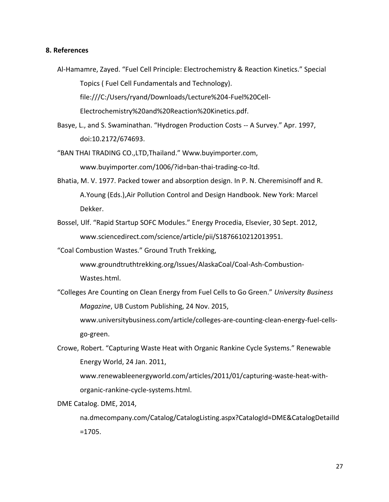#### **8. References**

Al-Hamamre, Zayed. "Fuel Cell Principle: Electrochemistry & Reaction Kinetics." Special Topics ( Fuel Cell Fundamentals and Technology). file:///C:/Users/ryand/Downloads/Lecture%204-Fuel%20Cell-Electrochemistry%20and%20Reaction%20Kinetics.pdf.

Basye, L., and S. Swaminathan. "Hydrogen Production Costs -- A Survey." Apr. 1997, doi:10.2172/674693.

"BAN THAI TRADING CO.,LTD,Thailand." Www.buyimporter.com, www.buyimporter.com/1006/?id=ban-thai-trading-co-ltd.

- Bhatia, M. V. 1977. Packed tower and absorption design. In P. N. Cheremisinoff and R. A.Young (Eds.),Air Pollution Control and Design Handbook. New York: Marcel Dekker.
- Bossel, Ulf. "Rapid Startup SOFC Modules." Energy Procedia, Elsevier, 30 Sept. 2012, www.sciencedirect.com/science/article/pii/S1876610212013951.

"Coal Combustion Wastes." Ground Truth Trekking,

www.groundtruthtrekking.org/Issues/AlaskaCoal/Coal-Ash-Combustion-Wastes.html.

"Colleges Are Counting on Clean Energy from Fuel Cells to Go Green." *University Business Magazine*, UB Custom Publishing, 24 Nov. 2015,

www.universitybusiness.com/article/colleges-are-counting-clean-energy-fuel-cellsgo-green.

Crowe, Robert. "Capturing Waste Heat with Organic Rankine Cycle Systems." Renewable Energy World, 24 Jan. 2011,

www.renewableenergyworld.com/articles/2011/01/capturing-waste-heat-withorganic-rankine-cycle-systems.html.

DME Catalog. DME, 2014,

na.dmecompany.com/Catalog/CatalogListing.aspx?CatalogId=DME&CatalogDetailId =1705.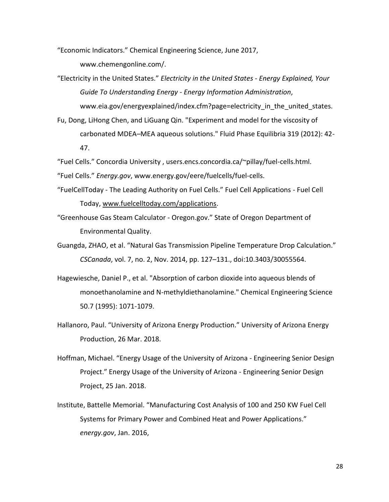"Economic Indicators." Chemical Engineering Science, June 2017,

www.chemengonline.com/.

- "Electricity in the United States." *Electricity in the United States - Energy Explained, Your Guide To Understanding Energy - Energy Information Administration*, www.eia.gov/energyexplained/index.cfm?page=electricity in the united states.
- Fu, Dong, LiHong Chen, and LiGuang Qin. "Experiment and model for the viscosity of carbonated MDEA–MEA aqueous solutions." Fluid Phase Equilibria 319 (2012): 42- 47.

"Fuel Cells." Concordia University , users.encs.concordia.ca/~pillay/fuel-cells.html. "Fuel Cells." *Energy.gov*, www.energy.gov/eere/fuelcells/fuel-cells.

- "FuelCellToday The Leading Authority on Fuel Cells." Fuel Cell Applications Fuel Cell Today, [www.fuelcelltoday.com/applications.](http://www.fuelcelltoday.com/applications)
- "Greenhouse Gas Steam Calculator Oregon.gov." State of Oregon Department of Environmental Quality.
- Guangda, ZHAO, et al. "Natural Gas Transmission Pipeline Temperature Drop Calculation." *CSCanada*, vol. 7, no. 2, Nov. 2014, pp. 127–131., doi:10.3403/30055564.
- Hagewiesche, Daniel P., et al. "Absorption of carbon dioxide into aqueous blends of monoethanolamine and N-methyldiethanolamine." Chemical Engineering Science 50.7 (1995): 1071-1079.
- Hallanoro, Paul. "University of Arizona Energy Production." University of Arizona Energy Production, 26 Mar. 2018.
- Hoffman, Michael. "Energy Usage of the University of Arizona Engineering Senior Design Project." Energy Usage of the University of Arizona - Engineering Senior Design Project, 25 Jan. 2018.
- Institute, Battelle Memorial. "Manufacturing Cost Analysis of 100 and 250 KW Fuel Cell Systems for Primary Power and Combined Heat and Power Applications." *energy.gov*, Jan. 2016,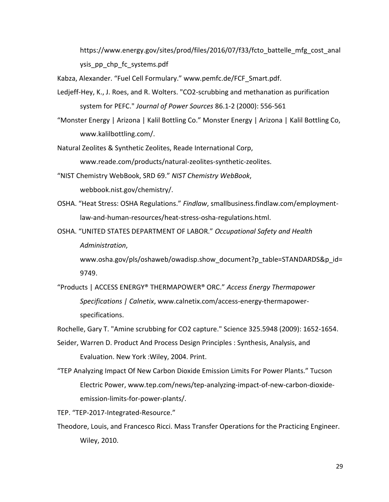https://www.energy.gov/sites/prod/files/2016/07/f33/fcto\_battelle\_mfg\_cost\_anal ysis\_pp\_chp\_fc\_systems.pdf

Kabza, Alexander. "Fuel Cell Formulary." www.pemfc.de/FCF\_Smart.pdf.

- Ledjeff-Hey, K., J. Roes, and R. Wolters. "CO2-scrubbing and methanation as purification system for PEFC." *Journal of Power Sources* 86.1-2 (2000): 556-561
- "Monster Energy | Arizona | Kalil Bottling Co." Monster Energy | Arizona | Kalil Bottling Co, www.kalilbottling.com/.

Natural Zeolites & Synthetic Zeolites, Reade International Corp,

www.reade.com/products/natural-zeolites-synthetic-zeolites.

"NIST Chemistry WebBook, SRD 69." *NIST Chemistry WebBook*, webbook.nist.gov/chemistry/.

OSHA. "Heat Stress: OSHA Regulations." *Findlaw*, smallbusiness.findlaw.com/employmentlaw-and-human-resources/heat-stress-osha-regulations.html.

OSHA. "UNITED STATES DEPARTMENT OF LABOR." *Occupational Safety and Health Administration*,

www.osha.gov/pls/oshaweb/owadisp.show document?p table=STANDARDS&p id= 9749.

"Products | ACCESS ENERGY® THERMAPOWER® ORC." *Access Energy Thermapower Specifications | Calnetix*, www.calnetix.com/access-energy-thermapowerspecifications.

Rochelle, Gary T. "Amine scrubbing for CO2 capture." Science 325.5948 (2009): 1652-1654.

Seider, Warren D. Product And Process Design Principles : Synthesis, Analysis, and Evaluation. New York :Wiley, 2004. Print.

"TEP Analyzing Impact Of New Carbon Dioxide Emission Limits For Power Plants." Tucson Electric Power, www.tep.com/news/tep-analyzing-impact-of-new-carbon-dioxideemission-limits-for-power-plants/.

TEP. "TEP-2017-Integrated-Resource."

Theodore, Louis, and Francesco Ricci. Mass Transfer Operations for the Practicing Engineer. Wiley, 2010.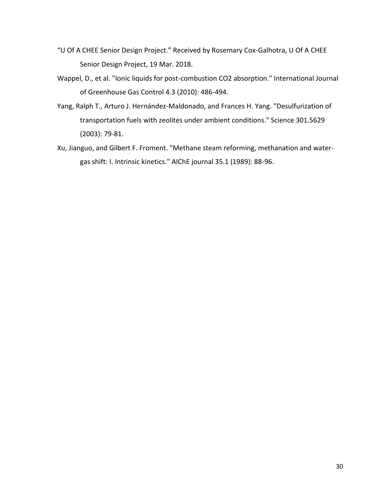- "U Of A CHEE Senior Design Project." Received by Rosemary Cox-Galhotra, U Of A CHEE Senior Design Project, 19 Mar. 2018.
- Wappel, D., et al. "Ionic liquids for post-combustion CO2 absorption." International Journal of Greenhouse Gas Control 4.3 (2010): 486-494.
- Yang, Ralph T., Arturo J. Hernández-Maldonado, and Frances H. Yang. "Desulfurization of transportation fuels with zeolites under ambient conditions." Science 301.5629 (2003): 79-81.
- Xu, Jianguo, and Gilbert F. Froment. "Methane steam reforming, methanation and water‐ gas shift: I. Intrinsic kinetics." AIChE journal 35.1 (1989): 88-96.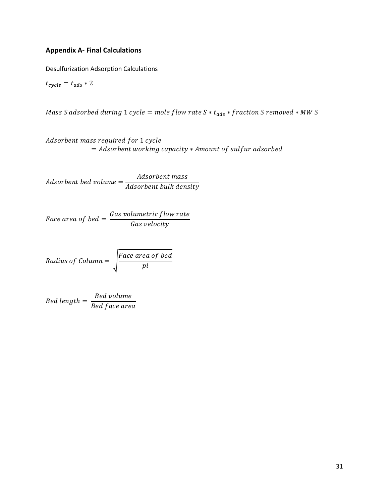## **Appendix A- Final Calculations**

Desulfurization Adsorption Calculations

 $t_{cycle} = t_{ads} * 2$ 

Mass S adsorbed during 1 cycle = mole flow rate  $S * t_{ads} * fraction S$  removed  $* MW S$ 

Adsorbent mass required for 1 cycle  $=$  Adsorbent working capacity  $*$  Amount of sulfur adsorbed

Adsorbent bed volume = Adsorbent mass Adsorbent bulk density

Face area of bed  $\, =$ Gas volumetric flow rate Gas velocity

Radius of Column =  $\vert$ Face area of bed рi

Bed length  $\, =$ Bed volume Bed face area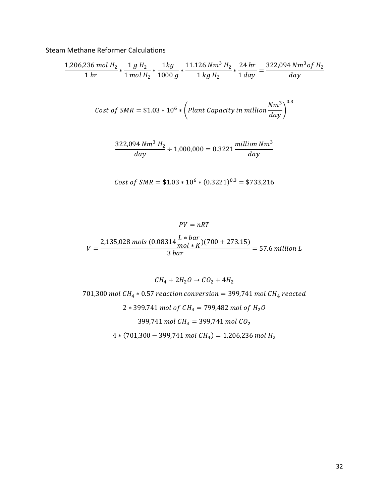Steam Methane Reformer Calculations

$$
\frac{1,206,236 \text{ mol } H_2}{1 \text{ hr}} * \frac{1 \text{ g } H_2}{1 \text{ mol } H_2} * \frac{1 \text{ kg}}{1000 \text{ g}} * \frac{11.126 \text{ Nm}^3 H_2}{1 \text{ kg } H_2} * \frac{24 \text{ hr}}{1 \text{ day}} = \frac{322,094 \text{ Nm}^3 \text{ of } H_2}{\text{day}}
$$

Cost of 
$$
SMR = $1.03 * 10^6 * \left( Plant Capacity in million \frac{Nm^3}{day}\right)^{0.3}
$$

$$
\frac{322,094 Nm^3 H_2}{day} \div 1,000,000 = 0.3221 \frac{million Nm^3}{day}
$$

Cost of 
$$
SMR = $1.03 * 10^6 * (0.3221)^{0.3} = $733,216
$$

$$
PV = nRT
$$
  
2,135,028 mols (0.08314  $\frac{L * bar}{mol * K}$ )(700 + 273.15)  
3 bar = 57.6 million L

$$
CH_4 + 2H_2O \rightarrow CO_2 + 4H_2
$$
  
701,300 mol CH<sub>4</sub> \* 0.57 reaction conversion = 399,741 mol CH<sub>4</sub> reacted  
2 \* 399.741 mol of CH<sub>4</sub> = 799,482 mol of H<sub>2</sub>O  
399,741 mol CH<sub>4</sub> = 399,741 mol CO<sub>2</sub>  
4 \* (701,300 - 399,741 mol CH<sub>4</sub>) = 1,206,236 mol H<sub>2</sub>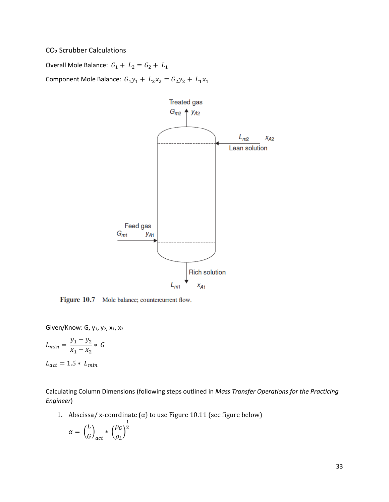## CO<sup>2</sup> Scrubber Calculations

Overall Mole Balance:  $G_1 + L_2 = G_2 + L_1$ Component Mole Balance:  $G_1 y_1 + L_2 x_2 = G_2 y_2 + L_1 x_1$ 



Figure 10.7 Mole balance; countercurrent flow.

Given/Know: G,  $y_1$ ,  $y_2$ ,  $x_1$ ,  $x_2$ 

$$
L_{min} = \frac{y_1 - y_2}{x_1 - x_2} * G
$$

 $L_{act} = 1.5 * L_{min}$ 

Calculating Column Dimensions (following steps outlined in *Mass Transfer Operations for the Practicing Engineer*)

1. Abscissa/ x-coordinate ( $\alpha$ ) to use Figure 10.11 (see figure below)

$$
\alpha = \left(\frac{L}{G}\right)_{act} * \left(\frac{\rho_G}{\rho_L}\right)^{\frac{1}{2}}
$$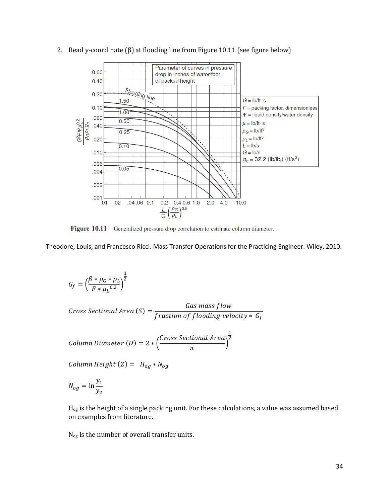

2. Read y-coordinate (β) at flooding line from Figure 10.11 (see figure below)

Figure 10.11 Generalized pressure drop correlation to estimate column diameter.

Theodore, Louis, and Francesco Ricci. Mass Transfer Operations for the Practicing Engineer. Wiley, 2010.

 $G_f =$  $\beta*\rho_{G}*\rho_{L}$  $\frac{F_{\alpha}F_{L}}{F*\mu_{L}^{0.2}}$ 1 2

 $Cross$  Sectional Area  $(S)$  = Gas mass flow fraction of flooding velocity  $*$   $\mathit{G}_{f}$ 

 $Column\ Diameter(D) = 2 * ($ Cross Sectional Area  $\frac{\pi}{\pi}$ ) 1 2

Column Height  $(Z) = H_{og} * N_{og}$ 

$$
N_{og} = \ln \frac{y_1}{y_2}
$$

 $H_{og}$  is the height of a single packing unit. For these calculations, a value was assumed based on examples from literature.

N<sub>og</sub> is the number of overall transfer units.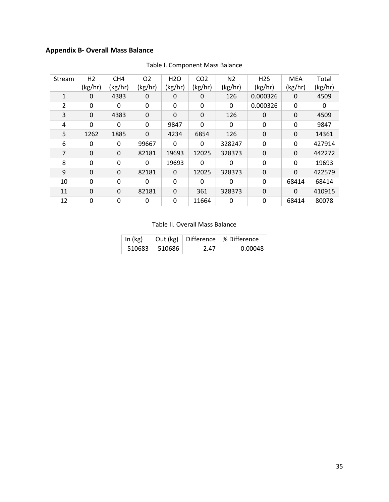## **Appendix B- Overall Mass Balance**

| Stream         | H <sub>2</sub> | CH <sub>4</sub> | O <sub>2</sub> | H <sub>20</sub> | CO <sub>2</sub> | N <sub>2</sub> | H <sub>2</sub> S | <b>MEA</b>  | Total    |
|----------------|----------------|-----------------|----------------|-----------------|-----------------|----------------|------------------|-------------|----------|
|                | (kg/hr)        | (kg/hr)         | (kg/hr)        | (kg/hr)         | (kg/hr)         | (kg/hr)        | (kg/hr)          | (kg/hr)     | (kg/hr)  |
| $\mathbf{1}$   | 0              | 4383            | 0              | 0               | 0               | 126            | 0.000326         | 0           | 4509     |
| 2              | 0              | 0               | 0              | 0               | 0               | 0              | 0.000326         | 0           | $\Omega$ |
| 3              | $\Omega$       | 4383            | 0              | 0               | 0               | 126            | 0                | 0           | 4509     |
| 4              | $\Omega$       | 0               | 0              | 9847            | 0               | $\Omega$       | 0                | 0           | 9847     |
| 5              | 1262           | 1885            | $\Omega$       | 4234            | 6854            | 126            | 0                | 0           | 14361    |
| 6              | 0              | 0               | 99667          | $\mathbf 0$     | $\mathbf 0$     | 328247         | 0                | 0           | 427914   |
| $\overline{7}$ | $\Omega$       | 0               | 82181          | 19693           | 12025           | 328373         | 0                | 0           | 442272   |
| 8              | $\Omega$       | 0               | $\Omega$       | 19693           | $\Omega$        | $\Omega$       | 0                | 0           | 19693    |
| 9              | $\Omega$       | 0               | 82181          | 0               | 12025           | 328373         | $\mathbf 0$      | $\mathbf 0$ | 422579   |
| 10             | $\Omega$       | $\mathbf{0}$    | $\Omega$       | 0               | $\Omega$        | 0              | 0                | 68414       | 68414    |
| 11             | $\Omega$       | $\Omega$        | 82181          | 0               | 361             | 328373         | 0                | $\Omega$    | 410915   |
| 12             | 0              | 0               | 0              | 0               | 11664           | 0              | 0                | 68414       | 80078    |

## Table I. Component Mass Balance

## Table II. Overall Mass Balance

| In $(kg)$ |                 |      | Out (kg)   Difference   % Difference |
|-----------|-----------------|------|--------------------------------------|
|           | $510683$ 510686 | 2.47 | 0.00048                              |